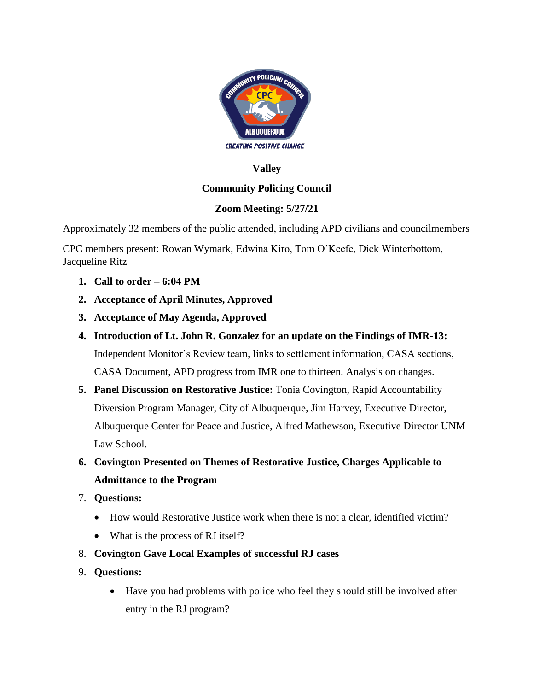

### **Valley**

## **Community Policing Council**

## **Zoom Meeting: 5/27/21**

Approximately 32 members of the public attended, including APD civilians and councilmembers

CPC members present: Rowan Wymark, Edwina Kiro, Tom O'Keefe, Dick Winterbottom, Jacqueline Ritz

- **1. Call to order – 6:04 PM**
- **2. Acceptance of April Minutes, Approved**
- **3. Acceptance of May Agenda, Approved**
- **4. Introduction of Lt. John R. Gonzalez for an update on the Findings of IMR-13:**  Independent Monitor's Review team, links to settlement information, CASA sections, CASA Document, APD progress from IMR one to thirteen. Analysis on changes.
- **5. Panel Discussion on Restorative Justice:** Tonia Covington, Rapid Accountability Diversion Program Manager, City of Albuquerque, Jim Harvey, Executive Director, Albuquerque Center for Peace and Justice, Alfred Mathewson, Executive Director UNM Law School.
- **6. Covington Presented on Themes of Restorative Justice, Charges Applicable to Admittance to the Program**
- 7. **Questions:**
	- How would Restorative Justice work when there is not a clear, identified victim?
	- What is the process of RJ itself?
- 8. **Covington Gave Local Examples of successful RJ cases**
- 9. **Questions:**
	- Have you had problems with police who feel they should still be involved after entry in the RJ program?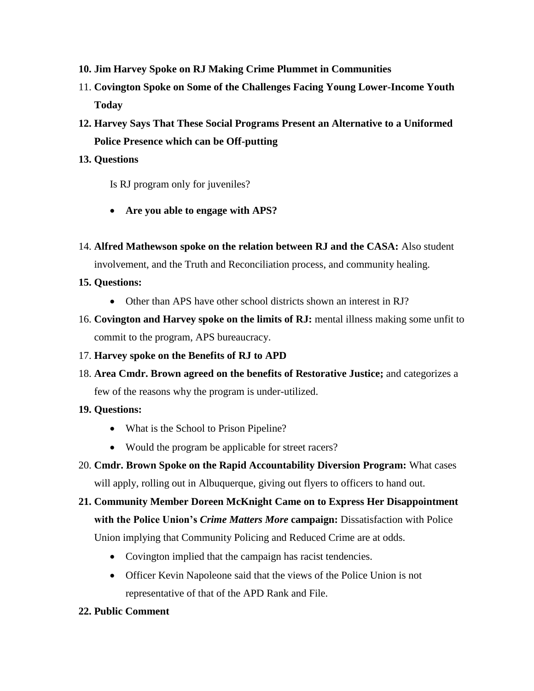- **10. Jim Harvey Spoke on RJ Making Crime Plummet in Communities**
- 11. **Covington Spoke on Some of the Challenges Facing Young Lower-Income Youth Today**
- **12. Harvey Says That These Social Programs Present an Alternative to a Uniformed Police Presence which can be Off-putting**

#### **13. Questions**

Is RJ program only for juveniles?

- **Are you able to engage with APS?**
- 14. **Alfred Mathewson spoke on the relation between RJ and the CASA:** Also student involvement, and the Truth and Reconciliation process, and community healing.

### **15. Questions:**

- Other than APS have other school districts shown an interest in RJ?
- 16. **Covington and Harvey spoke on the limits of RJ:** mental illness making some unfit to commit to the program, APS bureaucracy.
- 17. **Harvey spoke on the Benefits of RJ to APD**
- 18. **Area Cmdr. Brown agreed on the benefits of Restorative Justice;** and categorizes a few of the reasons why the program is under-utilized.

### **19. Questions:**

- What is the School to Prison Pipeline?
- Would the program be applicable for street racers?
- 20. **Cmdr. Brown Spoke on the Rapid Accountability Diversion Program:** What cases will apply, rolling out in Albuquerque, giving out flyers to officers to hand out.
- **21. Community Member Doreen McKnight Came on to Express Her Disappointment with the Police Union's** *Crime Matters More* **campaign:** Dissatisfaction with Police

Union implying that Community Policing and Reduced Crime are at odds.

- Covington implied that the campaign has racist tendencies.
- Officer Kevin Napoleone said that the views of the Police Union is not representative of that of the APD Rank and File.
- **22. Public Comment**